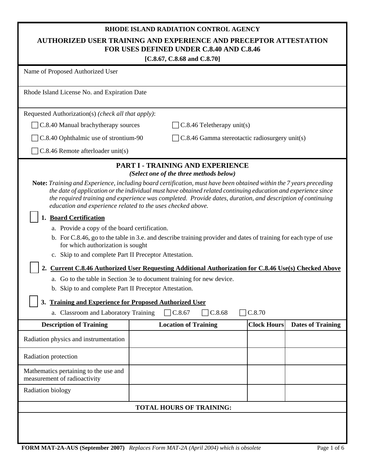# **RHODE ISLAND RADIATION CONTROL AGENCY**

# **AUTHORIZED USER TRAINING AND EXPERIENCE AND PRECEPTOR ATTESTATION FOR USES DEFINED UNDER C.8.40 AND C.8.46**

| [C.8.67, C.8.68 and C.8.70]                                                                                                                                                                                     |                                                                                                                                                                                                                                                                                                                                                    |                    |                          |  |  |  |  |
|-----------------------------------------------------------------------------------------------------------------------------------------------------------------------------------------------------------------|----------------------------------------------------------------------------------------------------------------------------------------------------------------------------------------------------------------------------------------------------------------------------------------------------------------------------------------------------|--------------------|--------------------------|--|--|--|--|
| Name of Proposed Authorized User                                                                                                                                                                                |                                                                                                                                                                                                                                                                                                                                                    |                    |                          |  |  |  |  |
| Rhode Island License No. and Expiration Date                                                                                                                                                                    |                                                                                                                                                                                                                                                                                                                                                    |                    |                          |  |  |  |  |
| Requested Authorization(s) (check all that apply):                                                                                                                                                              |                                                                                                                                                                                                                                                                                                                                                    |                    |                          |  |  |  |  |
| C.8.40 Manual brachytherapy sources                                                                                                                                                                             | $C.8.46$ Teletherapy unit(s)                                                                                                                                                                                                                                                                                                                       |                    |                          |  |  |  |  |
| C.8.40 Ophthalmic use of strontium-90                                                                                                                                                                           | C.8.46 Gamma stereotactic radiosurgery unit(s)                                                                                                                                                                                                                                                                                                     |                    |                          |  |  |  |  |
| $C.8.46$ Remote afterloader unit(s)                                                                                                                                                                             |                                                                                                                                                                                                                                                                                                                                                    |                    |                          |  |  |  |  |
|                                                                                                                                                                                                                 | PART I - TRAINING AND EXPERIENCE<br>(Select one of the three methods below)                                                                                                                                                                                                                                                                        |                    |                          |  |  |  |  |
| education and experience related to the uses checked above.                                                                                                                                                     | Note: Training and Experience, including board certification, must have been obtained within the 7 years preceding<br>the date of application or the individual must have obtained related continuing education and experience since<br>the required training and experience was completed. Provide dates, duration, and description of continuing |                    |                          |  |  |  |  |
| <b>Board Certification</b>                                                                                                                                                                                      |                                                                                                                                                                                                                                                                                                                                                    |                    |                          |  |  |  |  |
| a. Provide a copy of the board certification.                                                                                                                                                                   |                                                                                                                                                                                                                                                                                                                                                    |                    |                          |  |  |  |  |
| b. For C.8.46, go to the table in 3.e. and describe training provider and dates of training for each type of use<br>for which authorization is sought<br>c. Skip to and complete Part II Preceptor Attestation. |                                                                                                                                                                                                                                                                                                                                                    |                    |                          |  |  |  |  |
| 2.                                                                                                                                                                                                              | Current C.8.46 Authorized User Requesting Additional Authorization for C.8.46 Use(s) Checked Above                                                                                                                                                                                                                                                 |                    |                          |  |  |  |  |
| b. Skip to and complete Part II Preceptor Attestation.                                                                                                                                                          | a. Go to the table in Section 3e to document training for new device.                                                                                                                                                                                                                                                                              |                    |                          |  |  |  |  |
| <b>Training and Experience for Proposed Authorized User</b><br>3.                                                                                                                                               |                                                                                                                                                                                                                                                                                                                                                    |                    |                          |  |  |  |  |
| a. Classroom and Laboratory Training                                                                                                                                                                            | C.8.67<br>C.8.68                                                                                                                                                                                                                                                                                                                                   | C.8.70             |                          |  |  |  |  |
| <b>Description of Training</b>                                                                                                                                                                                  | <b>Location of Training</b>                                                                                                                                                                                                                                                                                                                        | <b>Clock Hours</b> | <b>Dates of Training</b> |  |  |  |  |
| Radiation physics and instrumentation                                                                                                                                                                           |                                                                                                                                                                                                                                                                                                                                                    |                    |                          |  |  |  |  |
| Radiation protection                                                                                                                                                                                            |                                                                                                                                                                                                                                                                                                                                                    |                    |                          |  |  |  |  |
| Mathematics pertaining to the use and<br>measurement of radioactivity                                                                                                                                           |                                                                                                                                                                                                                                                                                                                                                    |                    |                          |  |  |  |  |
| Radiation biology                                                                                                                                                                                               |                                                                                                                                                                                                                                                                                                                                                    |                    |                          |  |  |  |  |
| <b>TOTAL HOURS OF TRAINING:</b>                                                                                                                                                                                 |                                                                                                                                                                                                                                                                                                                                                    |                    |                          |  |  |  |  |
|                                                                                                                                                                                                                 |                                                                                                                                                                                                                                                                                                                                                    |                    |                          |  |  |  |  |
|                                                                                                                                                                                                                 |                                                                                                                                                                                                                                                                                                                                                    |                    |                          |  |  |  |  |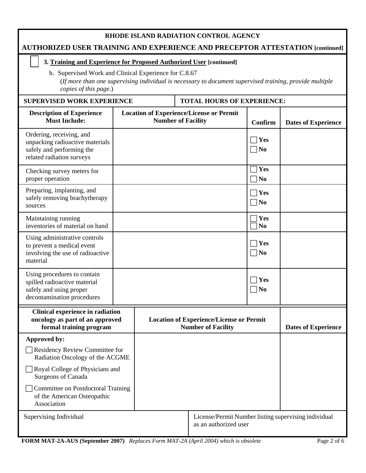## **RHODE ISLAND RADIATION CONTROL AGENCY**

## **AUTHORIZED USER TRAINING AND EXPERIENCE AND PRECEPTOR ATTESTATION [continued]**

#### **3. Training and Experience for Proposed Authorized User [continued]**

b. Supervised Work and Clinical Experience for C.8.67 (*If more than one supervising individual is necessary to document supervised training, provide multiple copies of this page*.)

SUPERVISED WORK EXPERIENCE | TOTAL HOURS OF EXPERIENCE:

| <b>Description of Experience</b><br><b>Must Include:</b>                                                              | <b>Location of Experience/License or Permit</b><br><b>Number of Facility</b>  |  |                                                                              | Confirm                    | <b>Dates of Experience</b> |
|-----------------------------------------------------------------------------------------------------------------------|-------------------------------------------------------------------------------|--|------------------------------------------------------------------------------|----------------------------|----------------------------|
| Ordering, receiving, and<br>unpacking radioactive materials<br>safely and performing the<br>related radiation surveys |                                                                               |  |                                                                              | $\vert$ Yes<br>$\neg$ No   |                            |
| Checking survey meters for<br>proper operation                                                                        |                                                                               |  |                                                                              | Yes<br>$\n  o$             |                            |
| Preparing, implanting, and<br>safely removing brachytherapy<br>sources                                                |                                                                               |  |                                                                              | $\exists$ Yes<br>$\neg$ No |                            |
| Maintaining running<br>inventories of material on hand                                                                |                                                                               |  |                                                                              | Yes<br>$\overline{\bf No}$ |                            |
| Using administrative controls<br>to prevent a medical event<br>involving the use of radioactive<br>material           |                                                                               |  |                                                                              | $\exists$ Yes<br>$\neg$ No |                            |
| Using procedures to contain<br>spilled radioactive material<br>safely and using proper<br>decontamination procedures  |                                                                               |  |                                                                              | Yes<br>$\neg$ No           |                            |
| Clinical experience in radiation<br>oncology as part of an approved<br>formal training program                        |                                                                               |  | <b>Location of Experience/License or Permit</b><br><b>Number of Facility</b> |                            | <b>Dates of Experience</b> |
| Approved by:                                                                                                          |                                                                               |  |                                                                              |                            |                            |
| Residency Review Committee for<br>Radiation Oncology of the ACGME                                                     |                                                                               |  |                                                                              |                            |                            |
| Royal College of Physicians and<br><b>Surgeons of Canada</b>                                                          |                                                                               |  |                                                                              |                            |                            |
| Committee on Postdoctoral Training<br>of the American Osteopathic<br>Association                                      |                                                                               |  |                                                                              |                            |                            |
| Supervising Individual                                                                                                | License/Permit Number listing supervising individual<br>as an authorized user |  |                                                                              |                            |                            |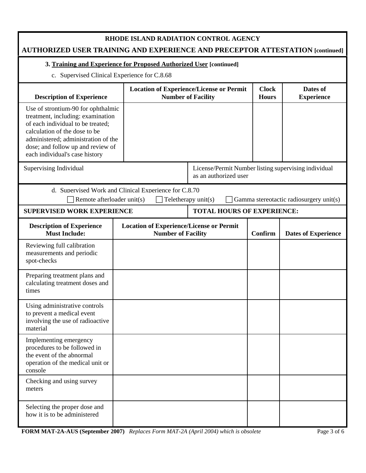| RHODE ISLAND RADIATION CONTROL AGENCY<br>AUTHORIZED USER TRAINING AND EXPERIENCE AND PRECEPTOR ATTESTATION [continued]                                                                                                                                      |                                                       |                                                                              |                                   |                                                      |                                         |  |
|-------------------------------------------------------------------------------------------------------------------------------------------------------------------------------------------------------------------------------------------------------------|-------------------------------------------------------|------------------------------------------------------------------------------|-----------------------------------|------------------------------------------------------|-----------------------------------------|--|
| 3. Training and Experience for Proposed Authorized User [continued]                                                                                                                                                                                         |                                                       |                                                                              |                                   |                                                      |                                         |  |
| c. Supervised Clinical Experience for C.8.68                                                                                                                                                                                                                |                                                       |                                                                              |                                   |                                                      |                                         |  |
| <b>Description of Experience</b>                                                                                                                                                                                                                            |                                                       | <b>Location of Experience/License or Permit</b><br><b>Number of Facility</b> |                                   |                                                      | Dates of<br><b>Experience</b>           |  |
| Use of strontium-90 for ophthalmic<br>treatment, including: examination<br>of each individual to be treated;<br>calculation of the dose to be<br>administered; administration of the<br>dose; and follow up and review of<br>each individual's case history |                                                       |                                                                              |                                   |                                                      |                                         |  |
| Supervising Individual                                                                                                                                                                                                                                      | as an authorized user                                 |                                                                              |                                   | License/Permit Number listing supervising individual |                                         |  |
| Remote afterloader unit(s)                                                                                                                                                                                                                                  | d. Supervised Work and Clinical Experience for C.8.70 |                                                                              | Teletherapy unit(s)               |                                                      | Gamma stereotactic radiosurgery unit(s) |  |
| <b>SUPERVISED WORK EXPERIENCE</b>                                                                                                                                                                                                                           |                                                       |                                                                              | <b>TOTAL HOURS OF EXPERIENCE:</b> |                                                      |                                         |  |
| <b>Description of Experience</b><br><b>Must Include:</b>                                                                                                                                                                                                    |                                                       | <b>Location of Experience/License or Permit</b><br><b>Number of Facility</b> |                                   |                                                      | <b>Dates of Experience</b>              |  |
| Reviewing full calibration<br>measurements and periodic<br>spot-checks                                                                                                                                                                                      |                                                       |                                                                              |                                   |                                                      |                                         |  |
| Preparing treatment plans and<br>calculating treatment doses and<br>times                                                                                                                                                                                   |                                                       |                                                                              |                                   |                                                      |                                         |  |
| Using administrative controls<br>to prevent a medical event<br>involving the use of radioactive<br>material                                                                                                                                                 |                                                       |                                                                              |                                   |                                                      |                                         |  |
| Implementing emergency<br>procedures to be followed in<br>the event of the abnormal<br>operation of the medical unit or<br>console                                                                                                                          |                                                       |                                                                              |                                   |                                                      |                                         |  |
| Checking and using survey<br>meters                                                                                                                                                                                                                         |                                                       |                                                                              |                                   |                                                      |                                         |  |
| Selecting the proper dose and<br>how it is to be administered                                                                                                                                                                                               |                                                       |                                                                              |                                   |                                                      |                                         |  |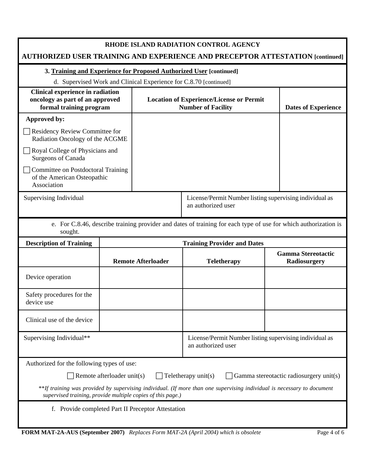| RHODE ISLAND RADIATION CONTROL AGENCY<br>AUTHORIZED USER TRAINING AND EXPERIENCE AND PRECEPTOR ATTESTATION [continued]                                                                 |                                                                                                                 |                                                                              |                                                                               |                                           |  |  |
|----------------------------------------------------------------------------------------------------------------------------------------------------------------------------------------|-----------------------------------------------------------------------------------------------------------------|------------------------------------------------------------------------------|-------------------------------------------------------------------------------|-------------------------------------------|--|--|
| 3. Training and Experience for Proposed Authorized User [continued]                                                                                                                    |                                                                                                                 |                                                                              |                                                                               |                                           |  |  |
|                                                                                                                                                                                        |                                                                                                                 |                                                                              | d. Supervised Work and Clinical Experience for C.8.70 [continued]             |                                           |  |  |
| Clinical experience in radiation<br>oncology as part of an approved<br>formal training program                                                                                         |                                                                                                                 | <b>Location of Experience/License or Permit</b><br><b>Number of Facility</b> | <b>Dates of Experience</b>                                                    |                                           |  |  |
| Approved by:                                                                                                                                                                           |                                                                                                                 |                                                                              |                                                                               |                                           |  |  |
| Residency Review Committee for<br>Radiation Oncology of the ACGME                                                                                                                      |                                                                                                                 |                                                                              |                                                                               |                                           |  |  |
| Royal College of Physicians and<br><b>Surgeons of Canada</b>                                                                                                                           |                                                                                                                 |                                                                              |                                                                               |                                           |  |  |
| Committee on Postdoctoral Training<br>of the American Osteopathic<br>Association                                                                                                       |                                                                                                                 |                                                                              |                                                                               |                                           |  |  |
| Supervising Individual                                                                                                                                                                 |                                                                                                                 |                                                                              | License/Permit Number listing supervising individual as<br>an authorized user |                                           |  |  |
| sought.                                                                                                                                                                                | e. For C.8.46, describe training provider and dates of training for each type of use for which authorization is |                                                                              |                                                                               |                                           |  |  |
| <b>Description of Training</b>                                                                                                                                                         |                                                                                                                 |                                                                              | <b>Training Provider and Dates</b>                                            |                                           |  |  |
|                                                                                                                                                                                        | <b>Remote Afterloader</b>                                                                                       |                                                                              | <b>Teletherapy</b>                                                            | <b>Gamma Stereotactic</b><br>Radiosurgery |  |  |
| Device operation                                                                                                                                                                       |                                                                                                                 |                                                                              |                                                                               |                                           |  |  |
| Safety procedures for the<br>device use                                                                                                                                                |                                                                                                                 |                                                                              |                                                                               |                                           |  |  |
| Clinical use of the device                                                                                                                                                             |                                                                                                                 |                                                                              |                                                                               |                                           |  |  |
| Supervising Individual**                                                                                                                                                               |                                                                                                                 |                                                                              | License/Permit Number listing supervising individual as<br>an authorized user |                                           |  |  |
| Authorized for the following types of use:                                                                                                                                             |                                                                                                                 |                                                                              |                                                                               |                                           |  |  |
| Teletherapy unit(s)<br>Remote afterloader unit(s)<br>Gamma stereotactic radiosurgery unit(s)                                                                                           |                                                                                                                 |                                                                              |                                                                               |                                           |  |  |
| **If training was provided by supervising individual. (If more than one supervising individual is necessary to document<br>supervised training, provide multiple copies of this page.) |                                                                                                                 |                                                                              |                                                                               |                                           |  |  |
| f. Provide completed Part II Preceptor Attestation                                                                                                                                     |                                                                                                                 |                                                                              |                                                                               |                                           |  |  |
| FORM MAT-2A-AUS (September 2007) Replaces Form MAT-2A (April 2004) which is obsolete<br>Page 4 of 6                                                                                    |                                                                                                                 |                                                                              |                                                                               |                                           |  |  |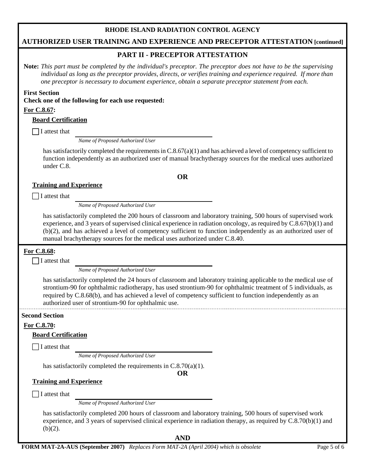## **RHODE ISLAND RADIATION CONTROL AGENCY**

## **AUTHORIZED USER TRAINING AND EXPERIENCE AND PRECEPTOR ATTESTATION [continued]**

## **PART II - PRECEPTOR ATTESTATION**

**Note:** *This part must be completed by the individual's preceptor. The preceptor does not have to be the supervising individual as long as the preceptor provides, directs, or verifies training and experience required. If more than one preceptor is necessary to document experience, obtain a separate preceptor statement from each.*

#### **First Section**

**Check one of the following for each use requested:**

#### **For C.8.67:**

#### **Board Certification**

 $\prod$  I attest that

*Name of Proposed Authorized User*

has satisfactorily completed the requirements in  $C.8.67(a)(1)$  and has achieved a level of competency sufficient to function independently as an authorized user of manual brachytherapy sources for the medical uses authorized under C.8.

**OR** 

#### **Training and Experience**

 $\Box$  I attest that

*Name of Proposed Authorized User*

has satisfactorily completed the 200 hours of classroom and laboratory training, 500 hours of supervised work experience, and 3 years of supervised clinical experience in radiation oncology, as required by C.8.67(b)(1) and (b)(2), and has achieved a level of competency sufficient to function independently as an authorized user of manual brachytherapy sources for the medical uses authorized under C.8.40.

### **For C.8.68:**

 $\Box$  I attest that

 *Name of Proposed Authorized User* 

has satisfactorily completed the 24 hours of classroom and laboratory training applicable to the medical use of strontium-90 for ophthalmic radiotherapy, has used strontium-90 for ophthalmic treatment of 5 individuals, as required by C.8.68(b), and has achieved a level of competency sufficient to function independently as an authorized user of strontium-90 for ophthalmic use.

#### **Second Section**

**For C.8.70:** 

#### **Board Certification**

 $\Box$  I attest that

*Name of Proposed Authorized User*

has satisfactorily completed the requirements in C.8.70(a)(1).

**OR** 

#### **Training and Experience**

 $\Box$  I attest that

*Name of Proposed Authorized User*

has satisfactorily completed 200 hours of classroom and laboratory training, 500 hours of supervised work experience, and 3 years of supervised clinical experience in radiation therapy, as required by C.8.70(b)(1) and  $(b)(2)$ .

**AND**